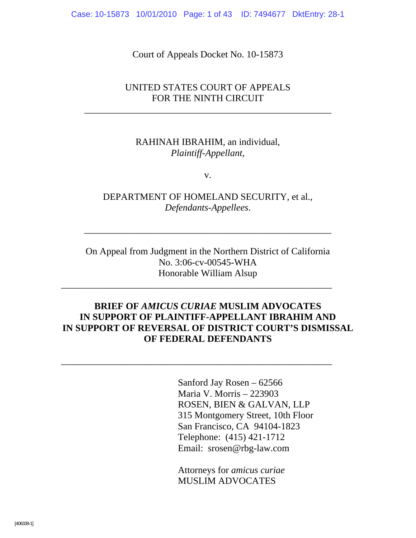Case: 10-15873 10/01/2010 Page: 1 of 43 ID: 7494677 DktEntry: 28-1

Court of Appeals Docket No. 10-15873

#### UNITED STATES COURT OF APPEALS FOR THE NINTH CIRCUIT

\_\_\_\_\_\_\_\_\_\_\_\_\_\_\_\_\_\_\_\_\_\_\_\_\_\_\_\_\_\_\_\_\_\_\_\_\_\_\_\_\_\_\_\_\_\_\_\_\_\_\_\_

#### RAHINAH IBRAHIM, an individual, *Plaintiff-Appellant*,

v.

DEPARTMENT OF HOMELAND SECURITY, et al., *Defendants-Appellees*.

\_\_\_\_\_\_\_\_\_\_\_\_\_\_\_\_\_\_\_\_\_\_\_\_\_\_\_\_\_\_\_\_\_\_\_\_\_\_\_\_\_\_\_\_\_\_\_\_\_\_\_\_

\_\_\_\_\_\_\_\_\_\_\_\_\_\_\_\_\_\_\_\_\_\_\_\_\_\_\_\_\_\_\_\_\_\_\_\_\_\_\_\_\_\_\_\_\_\_\_\_\_\_\_\_\_\_\_\_\_

\_\_\_\_\_\_\_\_\_\_\_\_\_\_\_\_\_\_\_\_\_\_\_\_\_\_\_\_\_\_\_\_\_\_\_\_\_\_\_\_\_\_\_\_\_\_\_\_\_\_\_\_\_\_\_\_\_

On Appeal from Judgment in the Northern District of California No. 3:06-cv-00545-WHA Honorable William Alsup

### **BRIEF OF** *AMICUS CURIAE* **MUSLIM ADVOCATES IN SUPPORT OF PLAINTIFF-APPELLANT IBRAHIM AND IN SUPPORT OF REVERSAL OF DISTRICT COURT'S DISMISSAL OF FEDERAL DEFENDANTS**

 Sanford Jay Rosen – 62566 Maria V. Morris – 223903 ROSEN, BIEN & GALVAN, LLP 315 Montgomery Street, 10th Floor San Francisco, CA 94104-1823 Telephone: (415) 421-1712 Email: srosen@rbg-law.com

Attorneys for *amicus curiae* MUSLIM ADVOCATES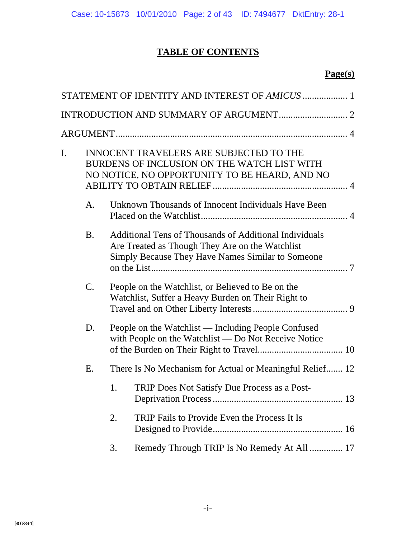# **TABLE OF CONTENTS**

#### **Page(s)**

|    |                 |                                                                                                                                                | STATEMENT OF IDENTITY AND INTEREST OF AMICUS  1                                                                                                                       |  |
|----|-----------------|------------------------------------------------------------------------------------------------------------------------------------------------|-----------------------------------------------------------------------------------------------------------------------------------------------------------------------|--|
|    |                 |                                                                                                                                                |                                                                                                                                                                       |  |
|    |                 |                                                                                                                                                |                                                                                                                                                                       |  |
| I. |                 | <b>INNOCENT TRAVELERS ARE SUBJECTED TO THE</b><br>BURDENS OF INCLUSION ON THE WATCH LIST WITH<br>NO NOTICE, NO OPPORTUNITY TO BE HEARD, AND NO |                                                                                                                                                                       |  |
|    | A <sub>1</sub>  |                                                                                                                                                | Unknown Thousands of Innocent Individuals Have Been                                                                                                                   |  |
|    | <b>B.</b>       |                                                                                                                                                | <b>Additional Tens of Thousands of Additional Individuals</b><br>Are Treated as Though They Are on the Watchlist<br>Simply Because They Have Names Similar to Someone |  |
|    | $\mathcal{C}$ . |                                                                                                                                                | People on the Watchlist, or Believed to Be on the<br>Watchlist, Suffer a Heavy Burden on Their Right to                                                               |  |
|    | D.              |                                                                                                                                                | People on the Watchlist — Including People Confused<br>with People on the Watchlist - Do Not Receive Notice                                                           |  |
|    | Ε.              |                                                                                                                                                | There Is No Mechanism for Actual or Meaningful Relief 12                                                                                                              |  |
|    |                 | 1.                                                                                                                                             | TRIP Does Not Satisfy Due Process as a Post-                                                                                                                          |  |
|    |                 | 2.                                                                                                                                             | TRIP Fails to Provide Even the Process It Is                                                                                                                          |  |
|    |                 | 3.                                                                                                                                             | Remedy Through TRIP Is No Remedy At All  17                                                                                                                           |  |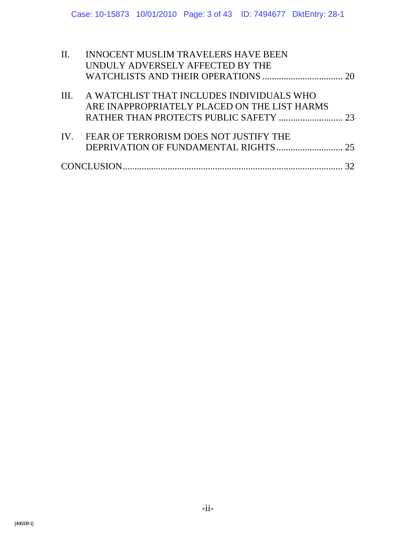| $\Pi$ . | <b>INNOCENT MUSLIM TRAVELERS HAVE BEEN</b>     |  |
|---------|------------------------------------------------|--|
|         | UNDULY ADVERSELY AFFECTED BY THE               |  |
|         |                                                |  |
|         | III. A WATCHLIST THAT INCLUDES INDIVIDUALS WHO |  |
|         | ARE INAPPROPRIATELY PLACED ON THE LIST HARMS   |  |
|         |                                                |  |
|         | IV. FEAR OF TERRORISM DOES NOT JUSTIFY THE     |  |
|         |                                                |  |
|         |                                                |  |
|         |                                                |  |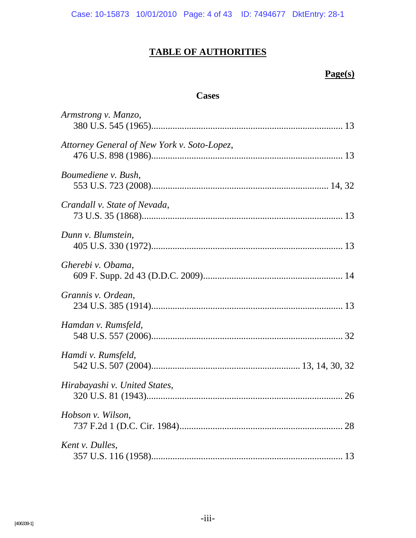Case: 10-15873 10/01/2010 Page: 4 of 43 ID: 7494677 DktEntry: 28-1

# **TABLE OF AUTHORITIES**

#### **Page(s)**

### **Cases**

| Armstrong v. Manzo,                         |  |
|---------------------------------------------|--|
| Attorney General of New York v. Soto-Lopez, |  |
| Boumediene v. Bush,                         |  |
| Crandall v. State of Nevada,                |  |
| Dunn v. Blumstein,                          |  |
| Gherebi v. Obama,                           |  |
| Grannis v. Ordean,                          |  |
| Hamdan v. Rumsfeld,                         |  |
| Hamdi v. Rumsfeld,                          |  |
| Hirabayashi v. United States,               |  |
| Hobson v. Wilson,                           |  |
| Kent v. Dulles,                             |  |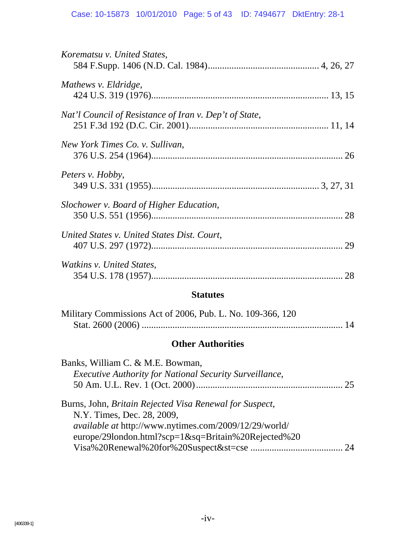| Korematsu v. United States,                            |    |
|--------------------------------------------------------|----|
| Mathews v. Eldridge,                                   |    |
| Nat'l Council of Resistance of Iran v. Dep't of State, |    |
| New York Times Co. v. Sullivan,                        |    |
| Peters v. Hobby,                                       |    |
| Slochower v. Board of Higher Education,                |    |
| United States v. United States Dist. Court,            | 29 |
| Watkins v. United States,                              | 28 |

# **Statutes**

| Military Commissions Act of 2006, Pub. L. No. 109-366, 120 |  |
|------------------------------------------------------------|--|
|                                                            |  |

# **Other Authorities**

| Banks, William C. & M.E. Bowman,                                                      |  |
|---------------------------------------------------------------------------------------|--|
| <b>Executive Authority for National Security Surveillance,</b>                        |  |
|                                                                                       |  |
| Burns, John, Britain Rejected Visa Renewal for Suspect,<br>N.Y. Times, Dec. 28, 2009, |  |
| available at http://www.nytimes.com/2009/12/29/world/                                 |  |
| europe/29london.html?scp=1&sq=Britain%20Rejected%20                                   |  |
|                                                                                       |  |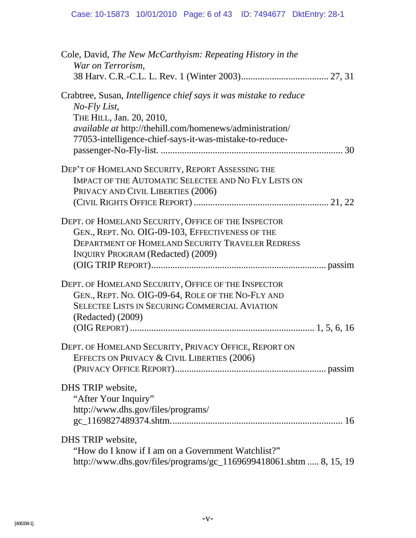| Cole, David, The New McCarthyism: Repeating History in the<br>War on Terrorism,                                                                                                                                                             |
|---------------------------------------------------------------------------------------------------------------------------------------------------------------------------------------------------------------------------------------------|
|                                                                                                                                                                                                                                             |
| Crabtree, Susan, Intelligence chief says it was mistake to reduce<br>No-Fly List,<br>THE HILL, Jan. 20, 2010,<br><i>available at http://thehill.com/homenews/administration/</i><br>77053-intelligence-chief-says-it-was-mistake-to-reduce- |
| DEP'T OF HOMELAND SECURITY, REPORT ASSESSING THE<br>IMPACT OF THE AUTOMATIC SELECTEE AND NO FLY LISTS ON<br>PRIVACY AND CIVIL LIBERTIES (2006)                                                                                              |
| DEPT. OF HOMELAND SECURITY, OFFICE OF THE INSPECTOR<br>GEN., REPT. NO. OIG-09-103, EFFECTIVENESS OF THE<br><b>DEPARTMENT OF HOMELAND SECURITY TRAVELER REDRESS</b><br><b>INQUIRY PROGRAM (Redacted) (2009)</b>                              |
| DEPT. OF HOMELAND SECURITY, OFFICE OF THE INSPECTOR<br>GEN., REPT. NO. OIG-09-64, ROLE OF THE NO-FLY AND<br><b>SELECTEE LISTS IN SECURING COMMERCIAL AVIATION</b><br>(Redacted) (2009)                                                      |
| DEPT. OF HOMELAND SECURITY, PRIVACY OFFICE, REPORT ON<br>EFFECTS ON PRIVACY & CIVIL LIBERTIES (2006)                                                                                                                                        |
| DHS TRIP website,<br>"After Your Inquiry"<br>http://www.dhs.gov/files/programs/                                                                                                                                                             |
| DHS TRIP website,<br>"How do I know if I am on a Government Watchlist?"<br>http://www.dhs.gov/files/programs/gc_1169699418061.shtm  8, 15, 19                                                                                               |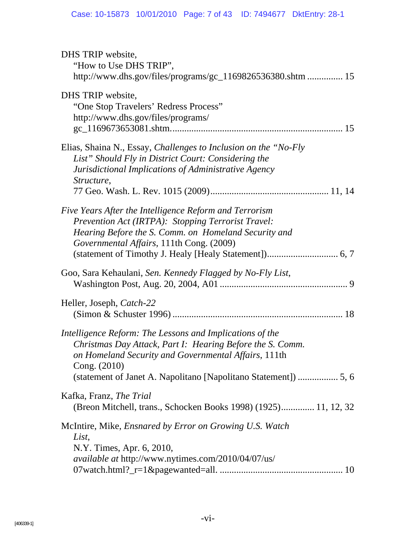| DHS TRIP website,                                               |
|-----------------------------------------------------------------|
| "How to Use DHS TRIP",                                          |
| http://www.dhs.gov/files/programs/gc_1169826536380.shtm  15     |
| DHS TRIP website,                                               |
| "One Stop Travelers' Redress Process"                           |
| http://www.dhs.gov/files/programs/                              |
|                                                                 |
|                                                                 |
| Elias, Shaina N., Essay, Challenges to Inclusion on the "No-Fly |
| List" Should Fly in District Court: Considering the             |
| Jurisdictional Implications of Administrative Agency            |
| Structure,                                                      |
|                                                                 |
| Five Years After the Intelligence Reform and Terrorism          |
| Prevention Act (IRTPA): Stopping Terrorist Travel:              |
| Hearing Before the S. Comm. on Homeland Security and            |
| Governmental Affairs, 111th Cong. (2009)                        |
|                                                                 |
| Goo, Sara Kehaulani, Sen. Kennedy Flagged by No-Fly List,       |
|                                                                 |
|                                                                 |
| Heller, Joseph, Catch-22                                        |
|                                                                 |
| Intelligence Reform: The Lessons and Implications of the        |
| Christmas Day Attack, Part I: Hearing Before the S. Comm.       |
| on Homeland Security and Governmental Affairs, 111th            |
| Cong. (2010)                                                    |
|                                                                 |
|                                                                 |
| Kafka, Franz, <i>The Trial</i>                                  |
| (Breon Mitchell, trans., Schocken Books 1998) (1925) 11, 12, 32 |
| McIntire, Mike, <i>Ensnared by Error on Growing U.S. Watch</i>  |
| List,                                                           |
|                                                                 |
| N.Y. Times, Apr. 6, 2010,                                       |
| <i>available at http://www.nytimes.com/2010/04/07/us/</i>       |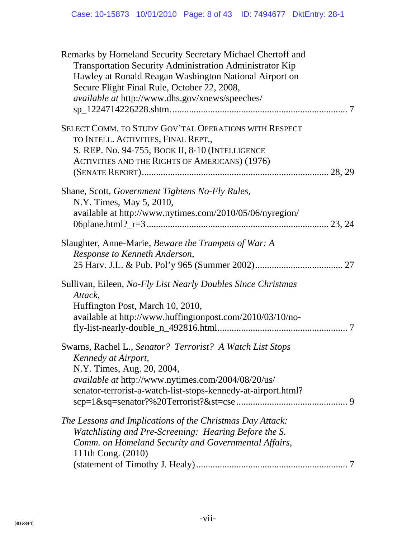| Remarks by Homeland Security Secretary Michael Chertoff and<br>Transportation Security Administration Administrator Kip<br>Hawley at Ronald Reagan Washington National Airport on<br>Secure Flight Final Rule, October 22, 2008,<br>available at http://www.dhs.gov/xnews/speeches/ |
|-------------------------------------------------------------------------------------------------------------------------------------------------------------------------------------------------------------------------------------------------------------------------------------|
| SELECT COMM. TO STUDY GOV'TAL OPERATIONS WITH RESPECT<br>TO INTELL. ACTIVITIES, FINAL REPT.,<br>S. REP. No. 94-755, BOOK II, 8-10 (INTELLIGENCE<br><b>ACTIVITIES AND THE RIGHTS OF AMERICANS) (1976)</b>                                                                            |
| Shane, Scott, Government Tightens No-Fly Rules,<br>N.Y. Times, May 5, 2010,<br>available at http://www.nytimes.com/2010/05/06/nyregion/                                                                                                                                             |
| Slaughter, Anne-Marie, Beware the Trumpets of War: A<br>Response to Kenneth Anderson,                                                                                                                                                                                               |
| Sullivan, Eileen, No-Fly List Nearly Doubles Since Christmas<br>Attack,<br>Huffington Post, March 10, 2010,<br>available at http://www.huffingtonpost.com/2010/03/10/no-                                                                                                            |
| Swarns, Rachel L., Senator? Terrorist? A Watch List Stops<br>Kennedy at Airport,<br>N.Y. Times, Aug. 20, 2004,<br><i>available at http://www.nytimes.com/2004/08/20/us/</i><br>senator-terrorist-a-watch-list-stops-kennedy-at-airport.html?                                        |
| The Lessons and Implications of the Christmas Day Attack:<br>Watchlisting and Pre-Screening: Hearing Before the S.<br>Comm. on Homeland Security and Governmental Affairs,<br>111th Cong. (2010)                                                                                    |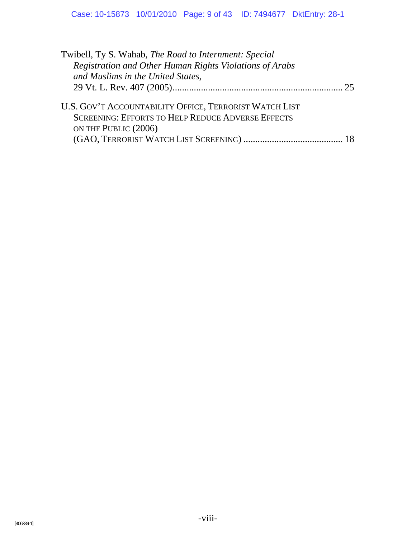| Twibell, Ty S. Wahab, The Road to Internment: Special                                                                                      |  |
|--------------------------------------------------------------------------------------------------------------------------------------------|--|
| Registration and Other Human Rights Violations of Arabs                                                                                    |  |
| and Muslims in the United States,                                                                                                          |  |
|                                                                                                                                            |  |
| U.S. GOV'T ACCOUNTABILITY OFFICE, TERRORIST WATCH LIST<br><b>SCREENING: EFFORTS TO HELP REDUCE ADVERSE EFFECTS</b><br>ON THE PUBLIC (2006) |  |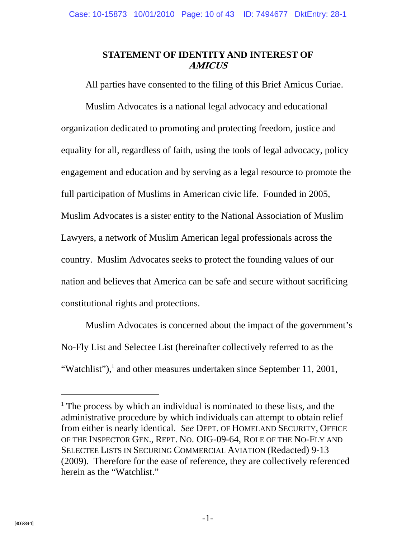### **STATEMENT OF IDENTITY AND INTEREST OF AMICUS**

All parties have consented to the filing of this Brief Amicus Curiae.

Muslim Advocates is a national legal advocacy and educational organization dedicated to promoting and protecting freedom, justice and equality for all, regardless of faith, using the tools of legal advocacy, policy engagement and education and by serving as a legal resource to promote the full participation of Muslims in American civic life. Founded in 2005, Muslim Advocates is a sister entity to the National Association of Muslim Lawyers, a network of Muslim American legal professionals across the country. Muslim Advocates seeks to protect the founding values of our nation and believes that America can be safe and secure without sacrificing constitutional rights and protections.

Muslim Advocates is concerned about the impact of the government's No-Fly List and Selectee List (hereinafter collectively referred to as the "Watchlist"), $\frac{1}{1}$  and other measures undertaken since September 11, 2001,

-

<sup>&</sup>lt;sup>1</sup> The process by which an individual is nominated to these lists, and the administrative procedure by which individuals can attempt to obtain relief from either is nearly identical. *See* DEPT. OF HOMELAND SECURITY, OFFICE OF THE INSPECTOR GEN., REPT. NO. OIG-09-64, ROLE OF THE NO-FLY AND SELECTEE LISTS IN SECURING COMMERCIAL AVIATION (Redacted) 9-13 (2009). Therefore for the ease of reference, they are collectively referenced herein as the "Watchlist."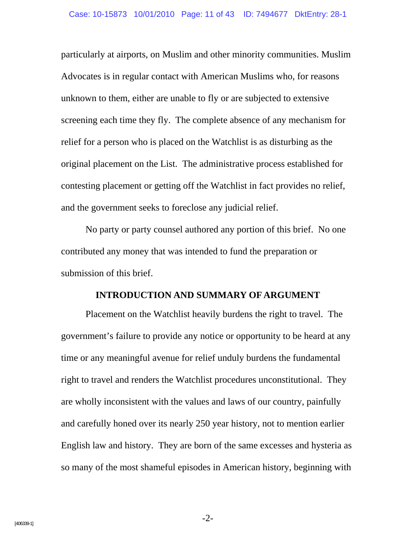particularly at airports, on Muslim and other minority communities. Muslim Advocates is in regular contact with American Muslims who, for reasons unknown to them, either are unable to fly or are subjected to extensive screening each time they fly. The complete absence of any mechanism for relief for a person who is placed on the Watchlist is as disturbing as the original placement on the List. The administrative process established for contesting placement or getting off the Watchlist in fact provides no relief, and the government seeks to foreclose any judicial relief.

No party or party counsel authored any portion of this brief. No one contributed any money that was intended to fund the preparation or submission of this brief.

#### **INTRODUCTION AND SUMMARY OF ARGUMENT**

Placement on the Watchlist heavily burdens the right to travel. The government's failure to provide any notice or opportunity to be heard at any time or any meaningful avenue for relief unduly burdens the fundamental right to travel and renders the Watchlist procedures unconstitutional. They are wholly inconsistent with the values and laws of our country, painfully and carefully honed over its nearly 250 year history, not to mention earlier English law and history. They are born of the same excesses and hysteria as so many of the most shameful episodes in American history, beginning with

-2-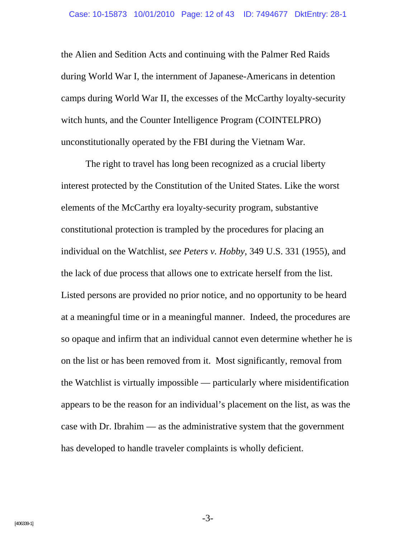the Alien and Sedition Acts and continuing with the Palmer Red Raids during World War I, the internment of Japanese-Americans in detention camps during World War II, the excesses of the McCarthy loyalty-security witch hunts, and the Counter Intelligence Program (COINTELPRO) unconstitutionally operated by the FBI during the Vietnam War.

The right to travel has long been recognized as a crucial liberty interest protected by the Constitution of the United States. Like the worst elements of the McCarthy era loyalty-security program, substantive constitutional protection is trampled by the procedures for placing an individual on the Watchlist, *see Peters v. Hobby*, 349 U.S. 331 (1955), and the lack of due process that allows one to extricate herself from the list. Listed persons are provided no prior notice, and no opportunity to be heard at a meaningful time or in a meaningful manner. Indeed, the procedures are so opaque and infirm that an individual cannot even determine whether he is on the list or has been removed from it. Most significantly, removal from the Watchlist is virtually impossible — particularly where misidentification appears to be the reason for an individual's placement on the list, as was the case with Dr. Ibrahim — as the administrative system that the government has developed to handle traveler complaints is wholly deficient.

-3-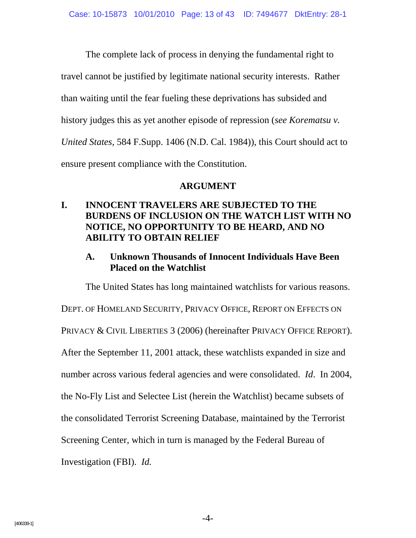The complete lack of process in denying the fundamental right to travel cannot be justified by legitimate national security interests. Rather than waiting until the fear fueling these deprivations has subsided and history judges this as yet another episode of repression (*see Korematsu v. United States*, 584 F.Supp. 1406 (N.D. Cal. 1984)), this Court should act to ensure present compliance with the Constitution.

#### **ARGUMENT**

# **I. INNOCENT TRAVELERS ARE SUBJECTED TO THE BURDENS OF INCLUSION ON THE WATCH LIST WITH NO NOTICE, NO OPPORTUNITY TO BE HEARD, AND NO ABILITY TO OBTAIN RELIEF**

# **A. Unknown Thousands of Innocent Individuals Have Been Placed on the Watchlist**

The United States has long maintained watchlists for various reasons.

DEPT. OF HOMELAND SECURITY, PRIVACY OFFICE, REPORT ON EFFECTS ON

PRIVACY & CIVIL LIBERTIES 3 (2006) (hereinafter PRIVACY OFFICE REPORT).

After the September 11, 2001 attack, these watchlists expanded in size and

number across various federal agencies and were consolidated. *Id*. In 2004,

the No-Fly List and Selectee List (herein the Watchlist) became subsets of

the consolidated Terrorist Screening Database, maintained by the Terrorist

Screening Center, which in turn is managed by the Federal Bureau of

Investigation (FBI). *Id.*

-4-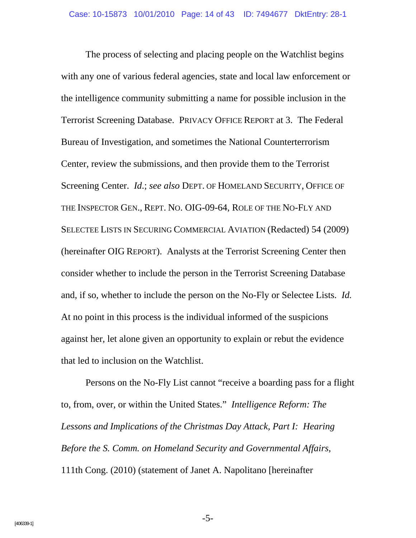The process of selecting and placing people on the Watchlist begins with any one of various federal agencies, state and local law enforcement or the intelligence community submitting a name for possible inclusion in the Terrorist Screening Database. PRIVACY OFFICE REPORT at 3. The Federal Bureau of Investigation, and sometimes the National Counterterrorism Center, review the submissions, and then provide them to the Terrorist Screening Center. *Id*.; *see also* DEPT. OF HOMELAND SECURITY, OFFICE OF THE INSPECTOR GEN., REPT. NO. OIG-09-64, ROLE OF THE NO-FLY AND SELECTEE LISTS IN SECURING COMMERCIAL AVIATION (Redacted) 54 (2009) (hereinafter OIG REPORT). Analysts at the Terrorist Screening Center then consider whether to include the person in the Terrorist Screening Database and, if so, whether to include the person on the No-Fly or Selectee Lists. *Id.* At no point in this process is the individual informed of the suspicions against her, let alone given an opportunity to explain or rebut the evidence that led to inclusion on the Watchlist.

Persons on the No-Fly List cannot "receive a boarding pass for a flight to, from, over, or within the United States." *Intelligence Reform: The Lessons and Implications of the Christmas Day Attack, Part I: Hearing Before the S. Comm. on Homeland Security and Governmental Affairs*, 111th Cong. (2010) (statement of Janet A. Napolitano [hereinafter

-5-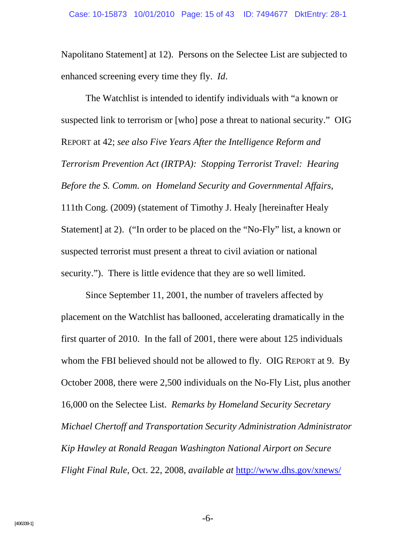Napolitano Statement] at 12). Persons on the Selectee List are subjected to enhanced screening every time they fly. *Id*.

The Watchlist is intended to identify individuals with "a known or suspected link to terrorism or [who] pose a threat to national security." OIG REPORT at 42; *see also Five Years After the Intelligence Reform and Terrorism Prevention Act (IRTPA): Stopping Terrorist Travel: Hearing Before the S. Comm. on Homeland Security and Governmental Affairs*, 111th Cong. (2009) (statement of Timothy J. Healy [hereinafter Healy Statement] at 2). ("In order to be placed on the "No-Fly" list, a known or suspected terrorist must present a threat to civil aviation or national security."). There is little evidence that they are so well limited.

Since September 11, 2001, the number of travelers affected by placement on the Watchlist has ballooned, accelerating dramatically in the first quarter of 2010. In the fall of 2001, there were about 125 individuals whom the FBI believed should not be allowed to fly. OIG REPORT at 9. By October 2008, there were 2,500 individuals on the No-Fly List, plus another 16,000 on the Selectee List. *Remarks by Homeland Security Secretary Michael Chertoff and Transportation Security Administration Administrator Kip Hawley at Ronald Reagan Washington National Airport on Secure Flight Final Rule*, Oct. 22, 2008, *available at* http://www.dhs.gov/xnews/

-6-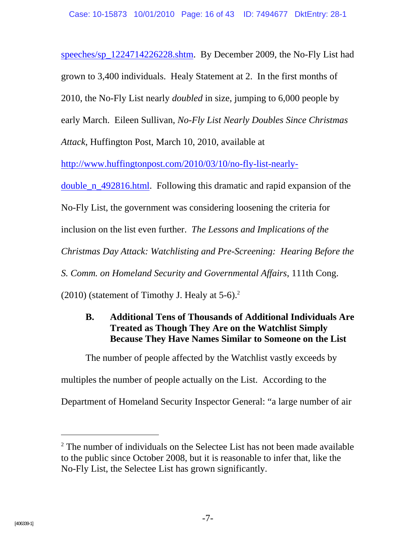speeches/sp\_1224714226228.shtm. By December 2009, the No-Fly List had grown to 3,400 individuals. Healy Statement at 2. In the first months of 2010, the No-Fly List nearly *doubled* in size, jumping to 6,000 people by early March. Eileen Sullivan, *No-Fly List Nearly Doubles Since Christmas Attack*, Huffington Post, March 10, 2010, available at

http://www.huffingtonpost.com/2010/03/10/no-fly-list-nearly-

double n 492816.html. Following this dramatic and rapid expansion of the

No-Fly List, the government was considering loosening the criteria for

inclusion on the list even further. *The Lessons and Implications of the* 

*Christmas Day Attack: Watchlisting and Pre-Screening: Hearing Before the* 

*S. Comm. on Homeland Security and Governmental Affairs*, 111th Cong.

 $(2010)$  (statement of Timothy J. Healy at 5-6).<sup>2</sup>

# **B. Additional Tens of Thousands of Additional Individuals Are Treated as Though They Are on the Watchlist Simply Because They Have Names Similar to Someone on the List**

The number of people affected by the Watchlist vastly exceeds by multiples the number of people actually on the List. According to the

Department of Homeland Security Inspector General: "a large number of air

 $2^2$  The number of individuals on the Selectee List has not been made available to the public since October 2008, but it is reasonable to infer that, like the No-Fly List, the Selectee List has grown significantly.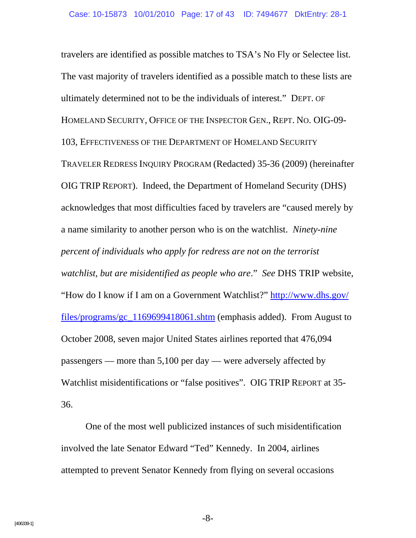travelers are identified as possible matches to TSA's No Fly or Selectee list. The vast majority of travelers identified as a possible match to these lists are ultimately determined not to be the individuals of interest." DEPT. OF HOMELAND SECURITY, OFFICE OF THE INSPECTOR GEN., REPT. NO. OIG-09- 103, EFFECTIVENESS OF THE DEPARTMENT OF HOMELAND SECURITY TRAVELER REDRESS INQUIRY PROGRAM (Redacted) 35-36 (2009) (hereinafter OIG TRIP REPORT). Indeed, the Department of Homeland Security (DHS) acknowledges that most difficulties faced by travelers are "caused merely by a name similarity to another person who is on the watchlist. *Ninety-nine percent of individuals who apply for redress are not on the terrorist watchlist, but are misidentified as people who are*." *See* DHS TRIP website, "How do I know if I am on a Government Watchlist?" http://www.dhs.gov/ files/programs/gc\_1169699418061.shtm (emphasis added). From August to October 2008, seven major United States airlines reported that 476,094 passengers — more than 5,100 per day — were adversely affected by Watchlist misidentifications or "false positives". OIG TRIP REPORT at 35- 36.

One of the most well publicized instances of such misidentification involved the late Senator Edward "Ted" Kennedy. In 2004, airlines attempted to prevent Senator Kennedy from flying on several occasions

-8-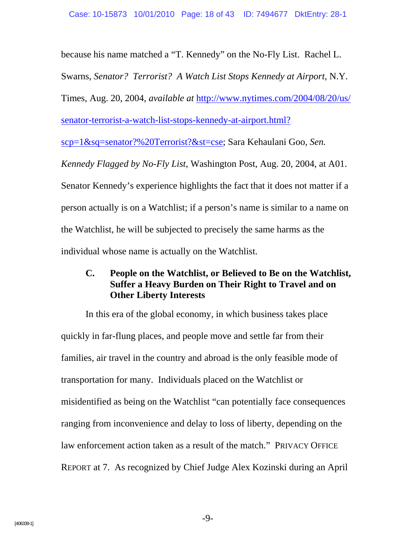because his name matched a "T. Kennedy" on the No-Fly List. Rachel L.

Swarns, *Senator? Terrorist? A Watch List Stops Kennedy at Airport*, N.Y.

Times, Aug. 20, 2004, *available at* http://www.nytimes.com/2004/08/20/us/

senator-terrorist-a-watch-list-stops-kennedy-at-airport.html?

scp=1&sq=senator?%20Terrorist?&st=cse; Sara Kehaulani Goo, *Sen.* 

*Kennedy Flagged by No-Fly List*, Washington Post, Aug. 20, 2004, at A01. Senator Kennedy's experience highlights the fact that it does not matter if a person actually is on a Watchlist; if a person's name is similar to a name on the Watchlist, he will be subjected to precisely the same harms as the individual whose name is actually on the Watchlist.

# **C. People on the Watchlist, or Believed to Be on the Watchlist, Suffer a Heavy Burden on Their Right to Travel and on Other Liberty Interests**

In this era of the global economy, in which business takes place quickly in far-flung places, and people move and settle far from their families, air travel in the country and abroad is the only feasible mode of transportation for many. Individuals placed on the Watchlist or misidentified as being on the Watchlist "can potentially face consequences ranging from inconvenience and delay to loss of liberty, depending on the law enforcement action taken as a result of the match." PRIVACY OFFICE REPORT at 7. As recognized by Chief Judge Alex Kozinski during an April

-9-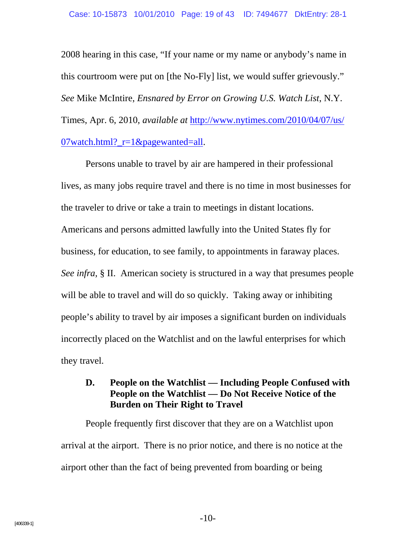2008 hearing in this case, "If your name or my name or anybody's name in this courtroom were put on [the No-Fly] list, we would suffer grievously." *See* Mike McIntire, *Ensnared by Error on Growing U.S. Watch List*, N.Y. Times, Apr. 6, 2010, *available at* http://www.nytimes.com/2010/04/07/us/ 07watch.html? $r=1$ &pagewanted=all.

Persons unable to travel by air are hampered in their professional lives, as many jobs require travel and there is no time in most businesses for the traveler to drive or take a train to meetings in distant locations. Americans and persons admitted lawfully into the United States fly for business, for education, to see family, to appointments in faraway places. *See infra*, § II. American society is structured in a way that presumes people will be able to travel and will do so quickly. Taking away or inhibiting people's ability to travel by air imposes a significant burden on individuals incorrectly placed on the Watchlist and on the lawful enterprises for which they travel.

# **D. People on the Watchlist — Including People Confused with People on the Watchlist — Do Not Receive Notice of the Burden on Their Right to Travel**

People frequently first discover that they are on a Watchlist upon arrival at the airport. There is no prior notice, and there is no notice at the airport other than the fact of being prevented from boarding or being

-10-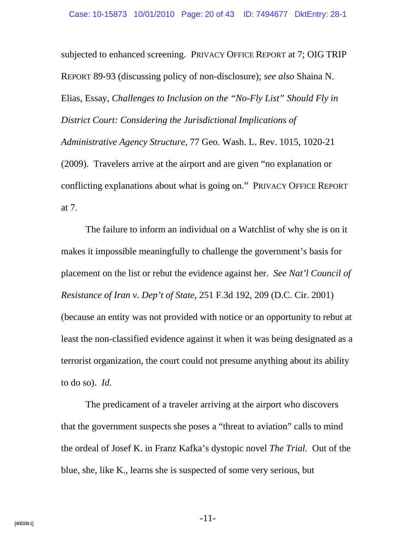subjected to enhanced screening. PRIVACY OFFICE REPORT at 7; OIG TRIP REPORT 89-93 (discussing policy of non-disclosure); *see also* Shaina N. Elias, Essay, *Challenges to Inclusion on the "No-Fly List" Should Fly in District Court: Considering the Jurisdictional Implications of Administrative Agency Structure*, 77 Geo. Wash. L. Rev. 1015, 1020-21 (2009). Travelers arrive at the airport and are given "no explanation or conflicting explanations about what is going on." PRIVACY OFFICE REPORT at 7.

The failure to inform an individual on a Watchlist of why she is on it makes it impossible meaningfully to challenge the government's basis for placement on the list or rebut the evidence against her. *See Nat'l Council of Resistance of Iran v. Dep't of State*, 251 F.3d 192, 209 (D.C. Cir. 2001) (because an entity was not provided with notice or an opportunity to rebut at least the non-classified evidence against it when it was being designated as a terrorist organization, the court could not presume anything about its ability to do so). *Id*.

The predicament of a traveler arriving at the airport who discovers that the government suspects she poses a "threat to aviation" calls to mind the ordeal of Josef K. in Franz Kafka's dystopic novel *The Trial*. Out of the blue, she, like K., learns she is suspected of some very serious, but

-11-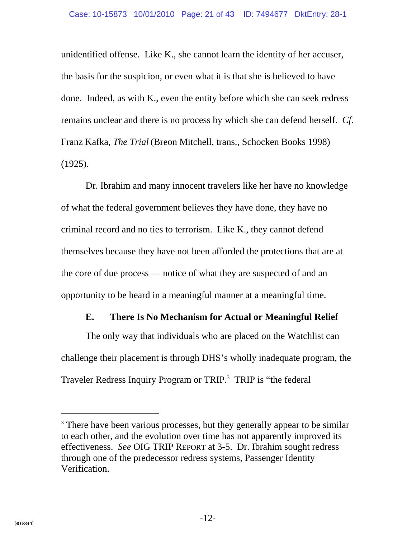unidentified offense. Like K., she cannot learn the identity of her accuser, the basis for the suspicion, or even what it is that she is believed to have done. Indeed, as with K., even the entity before which she can seek redress remains unclear and there is no process by which she can defend herself. *Cf*. Franz Kafka, *The Trial* (Breon Mitchell, trans., Schocken Books 1998) (1925).

Dr. Ibrahim and many innocent travelers like her have no knowledge of what the federal government believes they have done, they have no criminal record and no ties to terrorism. Like K., they cannot defend themselves because they have not been afforded the protections that are at the core of due process — notice of what they are suspected of and an opportunity to be heard in a meaningful manner at a meaningful time.

#### **E. There Is No Mechanism for Actual or Meaningful Relief**

The only way that individuals who are placed on the Watchlist can challenge their placement is through DHS's wholly inadequate program, the Traveler Redress Inquiry Program or TRIP.<sup>3</sup> TRIP is "the federal

-

<sup>&</sup>lt;sup>3</sup> There have been various processes, but they generally appear to be similar to each other, and the evolution over time has not apparently improved its effectiveness. *See* OIG TRIP REPORT at 3-5. Dr. Ibrahim sought redress through one of the predecessor redress systems, Passenger Identity Verification.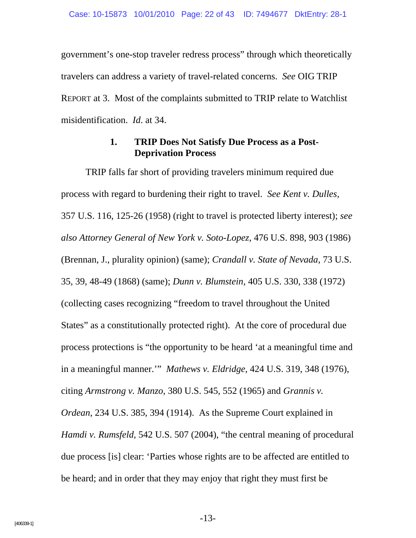government's one-stop traveler redress process" through which theoretically travelers can address a variety of travel-related concerns. *See* OIG TRIP REPORT at 3. Most of the complaints submitted to TRIP relate to Watchlist misidentification. *Id*. at 34.

### **1. TRIP Does Not Satisfy Due Process as a Post-Deprivation Process**

TRIP falls far short of providing travelers minimum required due process with regard to burdening their right to travel. *See Kent v. Dulles*, 357 U.S. 116, 125-26 (1958) (right to travel is protected liberty interest); *see also Attorney General of New York v. Soto-Lopez*, 476 U.S. 898, 903 (1986) (Brennan, J., plurality opinion) (same); *Crandall v. State of Nevada*, 73 U.S. 35, 39, 48-49 (1868) (same); *Dunn v. Blumstein*, 405 U.S. 330, 338 (1972) (collecting cases recognizing "freedom to travel throughout the United States" as a constitutionally protected right). At the core of procedural due process protections is "the opportunity to be heard 'at a meaningful time and in a meaningful manner.'" *Mathews v. Eldridge*, 424 U.S. 319, 348 (1976), citing *Armstrong v. Manzo*, 380 U.S. 545, 552 (1965) and *Grannis v. Ordean*, 234 U.S. 385, 394 (1914). As the Supreme Court explained in *Hamdi v. Rumsfeld*, 542 U.S. 507 (2004), "the central meaning of procedural due process [is] clear: 'Parties whose rights are to be affected are entitled to be heard; and in order that they may enjoy that right they must first be

-13-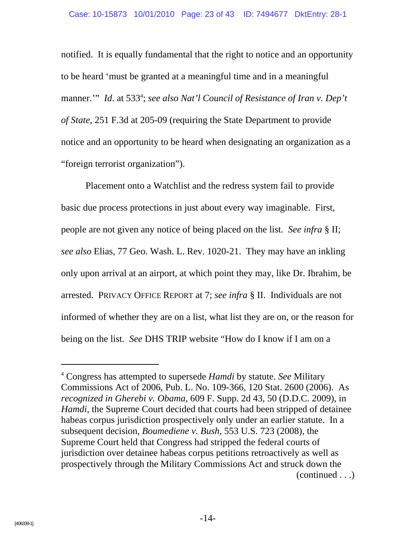notified. It is equally fundamental that the right to notice and an opportunity to be heard 'must be granted at a meaningful time and in a meaningful manner." *Id.* at 533<sup>4</sup>; *see also Nat'l Council of Resistance of Iran v. Dep't of State*, 251 F.3d at 205-09 (requiring the State Department to provide notice and an opportunity to be heard when designating an organization as a "foreign terrorist organization").

Placement onto a Watchlist and the redress system fail to provide basic due process protections in just about every way imaginable. First, people are not given any notice of being placed on the list. *See infra* § II; *see also* Elias, 77 Geo. Wash. L. Rev. 1020-21. They may have an inkling only upon arrival at an airport, at which point they may, like Dr. Ibrahim, be arrested. PRIVACY OFFICE REPORT at 7; *see infra* § II. Individuals are not informed of whether they are on a list, what list they are on, or the reason for being on the list. *See* DHS TRIP website "How do I know if I am on a

<sup>4</sup> Congress has attempted to supersede *Hamdi* by statute. *See* Military Commissions Act of 2006, Pub. L. No. 109-366, 120 Stat. 2600 (2006). As *recognized in Gherebi v. Obama*, 609 F. Supp. 2d 43, 50 (D.D.C. 2009), in *Hamdi*, the Supreme Court decided that courts had been stripped of detainee habeas corpus jurisdiction prospectively only under an earlier statute. In a subsequent decision, *Boumediene v. Bush*, 553 U.S. 723 (2008), the Supreme Court held that Congress had stripped the federal courts of jurisdiction over detainee habeas corpus petitions retroactively as well as prospectively through the Military Commissions Act and struck down the (continued . . .)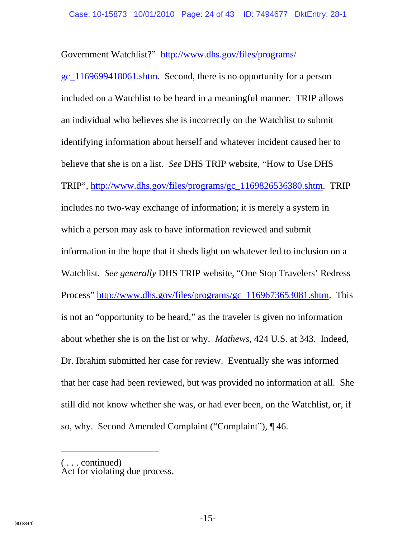Government Watchlist?" http://www.dhs.gov/files/programs/

gc\_1169699418061.shtm. Second, there is no opportunity for a person included on a Watchlist to be heard in a meaningful manner. TRIP allows an individual who believes she is incorrectly on the Watchlist to submit identifying information about herself and whatever incident caused her to believe that she is on a list. *See* DHS TRIP website, "How to Use DHS TRIP", http://www.dhs.gov/files/programs/gc\_1169826536380.shtm. TRIP includes no two-way exchange of information; it is merely a system in which a person may ask to have information reviewed and submit information in the hope that it sheds light on whatever led to inclusion on a Watchlist. *See generally* DHS TRIP website, "One Stop Travelers' Redress Process" http://www.dhs.gov/files/programs/gc\_1169673653081.shtm. This is not an "opportunity to be heard," as the traveler is given no information about whether she is on the list or why. *Mathews*, 424 U.S. at 343. Indeed, Dr. Ibrahim submitted her case for review. Eventually she was informed that her case had been reviewed, but was provided no information at all. She still did not know whether she was, or had ever been, on the Watchlist, or, if so, why. Second Amended Complaint ("Complaint"), ¶46.

( . . . continued)

Act for violating due process.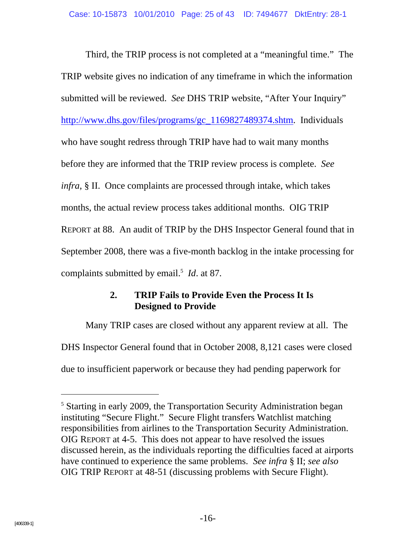Third, the TRIP process is not completed at a "meaningful time." The TRIP website gives no indication of any timeframe in which the information submitted will be reviewed. *See* DHS TRIP website, "After Your Inquiry" http://www.dhs.gov/files/programs/gc\_1169827489374.shtm. Individuals who have sought redress through TRIP have had to wait many months before they are informed that the TRIP review process is complete. *See infra*, § II. Once complaints are processed through intake, which takes months, the actual review process takes additional months. OIG TRIP REPORT at 88. An audit of TRIP by the DHS Inspector General found that in September 2008, there was a five-month backlog in the intake processing for complaints submitted by email.<sup>5</sup> *Id*. at 87.

## **2. TRIP Fails to Provide Even the Process It Is Designed to Provide**

Many TRIP cases are closed without any apparent review at all. The DHS Inspector General found that in October 2008, 8,121 cases were closed due to insufficient paperwork or because they had pending paperwork for

<sup>&</sup>lt;sup>5</sup> Starting in early 2009, the Transportation Security Administration began instituting "Secure Flight." Secure Flight transfers Watchlist matching responsibilities from airlines to the Transportation Security Administration. OIG REPORT at 4-5. This does not appear to have resolved the issues discussed herein, as the individuals reporting the difficulties faced at airports have continued to experience the same problems. *See infra* § II; *see also* OIG TRIP REPORT at 48-51 (discussing problems with Secure Flight).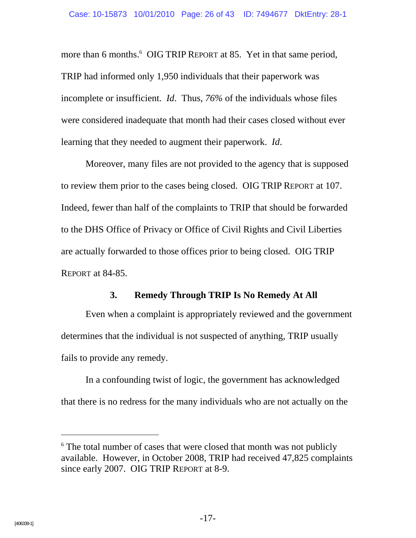more than 6 months.<sup>6</sup> OIG TRIP REPORT at 85. Yet in that same period, TRIP had informed only 1,950 individuals that their paperwork was incomplete or insufficient. *Id*. Thus, *76%* of the individuals whose files were considered inadequate that month had their cases closed without ever learning that they needed to augment their paperwork. *Id*.

Moreover, many files are not provided to the agency that is supposed to review them prior to the cases being closed. OIG TRIP REPORT at 107. Indeed, fewer than half of the complaints to TRIP that should be forwarded to the DHS Office of Privacy or Office of Civil Rights and Civil Liberties are actually forwarded to those offices prior to being closed. OIG TRIP REPORT at 84-85.

#### **3. Remedy Through TRIP Is No Remedy At All**

Even when a complaint is appropriately reviewed and the government determines that the individual is not suspected of anything, TRIP usually fails to provide any remedy.

In a confounding twist of logic, the government has acknowledged that there is no redress for the many individuals who are not actually on the

-

<sup>&</sup>lt;sup>6</sup> The total number of cases that were closed that month was not publicly available. However, in October 2008, TRIP had received 47,825 complaints since early 2007. OIG TRIP REPORT at 8-9.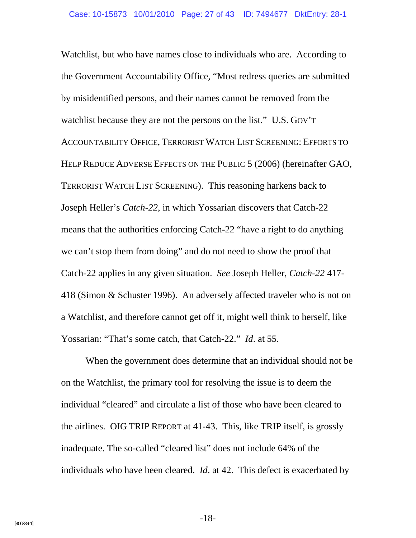Watchlist, but who have names close to individuals who are. According to the Government Accountability Office, "Most redress queries are submitted by misidentified persons, and their names cannot be removed from the watchlist because they are not the persons on the list." U.S. GOV'T ACCOUNTABILITY OFFICE, TERRORIST WATCH LIST SCREENING: EFFORTS TO HELP REDUCE ADVERSE EFFECTS ON THE PUBLIC 5 (2006) (hereinafter GAO, TERRORIST WATCH LIST SCREENING). This reasoning harkens back to Joseph Heller's *Catch-22*, in which Yossarian discovers that Catch-22 means that the authorities enforcing Catch-22 "have a right to do anything we can't stop them from doing" and do not need to show the proof that Catch-22 applies in any given situation. *See* Joseph Heller, *Catch-22* 417- 418 (Simon & Schuster 1996). An adversely affected traveler who is not on a Watchlist, and therefore cannot get off it, might well think to herself, like Yossarian: "That's some catch, that Catch-22." *Id*. at 55.

When the government does determine that an individual should not be on the Watchlist, the primary tool for resolving the issue is to deem the individual "cleared" and circulate a list of those who have been cleared to the airlines. OIG TRIP REPORT at 41-43. This, like TRIP itself, is grossly inadequate. The so-called "cleared list" does not include 64% of the individuals who have been cleared. *Id*. at 42. This defect is exacerbated by

-18-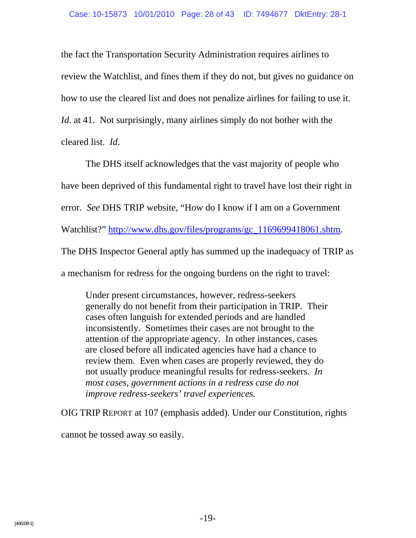the fact the Transportation Security Administration requires airlines to review the Watchlist, and fines them if they do not, but gives no guidance on how to use the cleared list and does not penalize airlines for failing to use it. *Id.* at 41. Not surprisingly, many airlines simply do not bother with the cleared list. *Id*.

The DHS itself acknowledges that the vast majority of people who have been deprived of this fundamental right to travel have lost their right in error. *See* DHS TRIP website, "How do I know if I am on a Government Watchlist?" http://www.dhs.gov/files/programs/gc\_1169699418061.shtm. The DHS Inspector General aptly has summed up the inadequacy of TRIP as a mechanism for redress for the ongoing burdens on the right to travel:

Under present circumstances, however, redress-seekers generally do not benefit from their participation in TRIP. Their cases often languish for extended periods and are handled inconsistently. Sometimes their cases are not brought to the attention of the appropriate agency. In other instances, cases are closed before all indicated agencies have had a chance to review them. Even when cases are properly reviewed, they do not usually produce meaningful results for redress-seekers. *In most cases, government actions in a redress case do not improve redress-seekers' travel experiences.*

OIG TRIP REPORT at 107 (emphasis added). Under our Constitution, rights

cannot be tossed away so easily.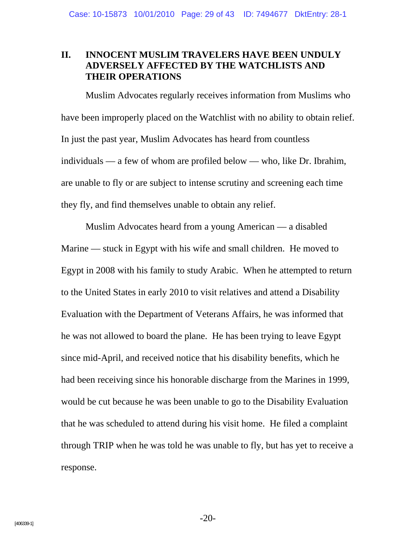#### **II. INNOCENT MUSLIM TRAVELERS HAVE BEEN UNDULY ADVERSELY AFFECTED BY THE WATCHLISTS AND THEIR OPERATIONS**

Muslim Advocates regularly receives information from Muslims who have been improperly placed on the Watchlist with no ability to obtain relief. In just the past year, Muslim Advocates has heard from countless individuals — a few of whom are profiled below — who, like Dr. Ibrahim, are unable to fly or are subject to intense scrutiny and screening each time they fly, and find themselves unable to obtain any relief.

Muslim Advocates heard from a young American — a disabled Marine — stuck in Egypt with his wife and small children. He moved to Egypt in 2008 with his family to study Arabic. When he attempted to return to the United States in early 2010 to visit relatives and attend a Disability Evaluation with the Department of Veterans Affairs, he was informed that he was not allowed to board the plane. He has been trying to leave Egypt since mid-April, and received notice that his disability benefits, which he had been receiving since his honorable discharge from the Marines in 1999, would be cut because he was been unable to go to the Disability Evaluation that he was scheduled to attend during his visit home. He filed a complaint through TRIP when he was told he was unable to fly, but has yet to receive a response.

-20-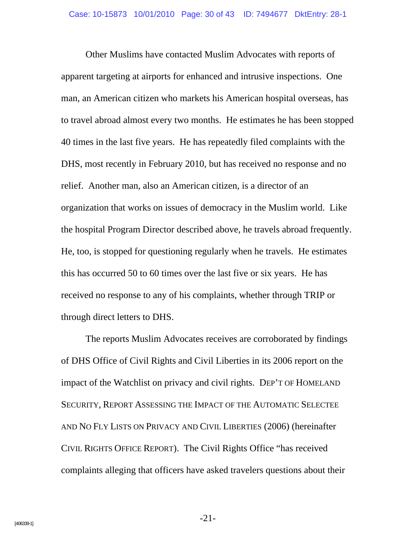Other Muslims have contacted Muslim Advocates with reports of apparent targeting at airports for enhanced and intrusive inspections. One man, an American citizen who markets his American hospital overseas, has to travel abroad almost every two months. He estimates he has been stopped 40 times in the last five years. He has repeatedly filed complaints with the DHS, most recently in February 2010, but has received no response and no relief. Another man, also an American citizen, is a director of an organization that works on issues of democracy in the Muslim world. Like the hospital Program Director described above, he travels abroad frequently. He, too, is stopped for questioning regularly when he travels. He estimates this has occurred 50 to 60 times over the last five or six years. He has received no response to any of his complaints, whether through TRIP or through direct letters to DHS.

The reports Muslim Advocates receives are corroborated by findings of DHS Office of Civil Rights and Civil Liberties in its 2006 report on the impact of the Watchlist on privacy and civil rights. DEP'T OF HOMELAND SECURITY, REPORT ASSESSING THE IMPACT OF THE AUTOMATIC SELECTEE AND NO FLY LISTS ON PRIVACY AND CIVIL LIBERTIES (2006) (hereinafter CIVIL RIGHTS OFFICE REPORT). The Civil Rights Office "has received complaints alleging that officers have asked travelers questions about their

-21-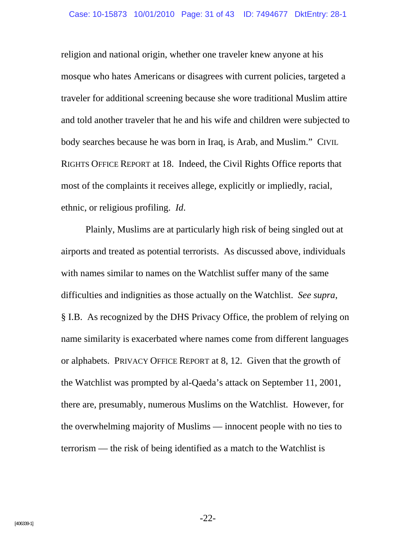religion and national origin, whether one traveler knew anyone at his mosque who hates Americans or disagrees with current policies, targeted a traveler for additional screening because she wore traditional Muslim attire and told another traveler that he and his wife and children were subjected to body searches because he was born in Iraq, is Arab, and Muslim." CIVIL RIGHTS OFFICE REPORT at 18. Indeed, the Civil Rights Office reports that most of the complaints it receives allege, explicitly or impliedly, racial, ethnic, or religious profiling. *Id*.

Plainly, Muslims are at particularly high risk of being singled out at airports and treated as potential terrorists. As discussed above, individuals with names similar to names on the Watchlist suffer many of the same difficulties and indignities as those actually on the Watchlist. *See supra*, § I.B. As recognized by the DHS Privacy Office, the problem of relying on name similarity is exacerbated where names come from different languages or alphabets. PRIVACY OFFICE REPORT at 8, 12. Given that the growth of the Watchlist was prompted by al-Qaeda's attack on September 11, 2001, there are, presumably, numerous Muslims on the Watchlist. However, for the overwhelming majority of Muslims — innocent people with no ties to terrorism — the risk of being identified as a match to the Watchlist is

-22-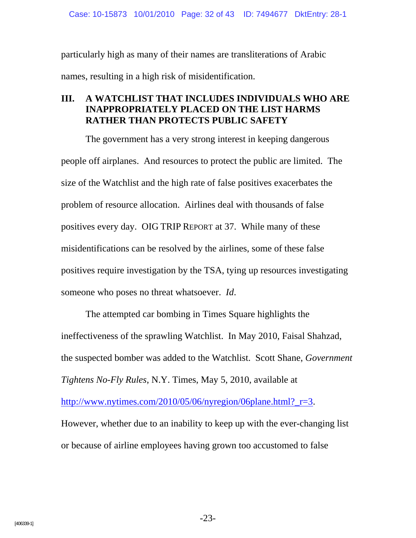Case: 10-15873 10/01/2010 Page: 32 of 43 ID: 7494677 DktEntry: 28-1

particularly high as many of their names are transliterations of Arabic names, resulting in a high risk of misidentification.

### **III. A WATCHLIST THAT INCLUDES INDIVIDUALS WHO ARE INAPPROPRIATELY PLACED ON THE LIST HARMS RATHER THAN PROTECTS PUBLIC SAFETY**

The government has a very strong interest in keeping dangerous people off airplanes. And resources to protect the public are limited. The size of the Watchlist and the high rate of false positives exacerbates the problem of resource allocation. Airlines deal with thousands of false positives every day. OIG TRIP REPORT at 37. While many of these misidentifications can be resolved by the airlines, some of these false positives require investigation by the TSA, tying up resources investigating someone who poses no threat whatsoever. *Id*.

The attempted car bombing in Times Square highlights the ineffectiveness of the sprawling Watchlist. In May 2010, Faisal Shahzad, the suspected bomber was added to the Watchlist. Scott Shane, *Government Tightens No-Fly Rules*, N.Y. Times, May 5, 2010, available at http://www.nytimes.com/2010/05/06/nyregion/06plane.html?\_r=3. However, whether due to an inability to keep up with the ever-changing list or because of airline employees having grown too accustomed to false

-23-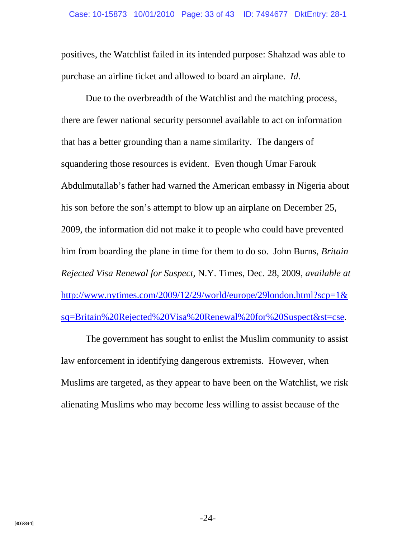positives, the Watchlist failed in its intended purpose: Shahzad was able to purchase an airline ticket and allowed to board an airplane. *Id*.

Due to the overbreadth of the Watchlist and the matching process, there are fewer national security personnel available to act on information that has a better grounding than a name similarity. The dangers of squandering those resources is evident. Even though Umar Farouk Abdulmutallab's father had warned the American embassy in Nigeria about his son before the son's attempt to blow up an airplane on December 25, 2009, the information did not make it to people who could have prevented him from boarding the plane in time for them to do so. John Burns, *Britain Rejected Visa Renewal for Suspect*, N.Y. Times, Dec. 28, 2009, *available at* http://www.nytimes.com/2009/12/29/world/europe/29london.html?scp=1& sq=Britain%20Rejected%20Visa%20Renewal%20for%20Suspect&st=cse.

The government has sought to enlist the Muslim community to assist law enforcement in identifying dangerous extremists. However, when Muslims are targeted, as they appear to have been on the Watchlist, we risk alienating Muslims who may become less willing to assist because of the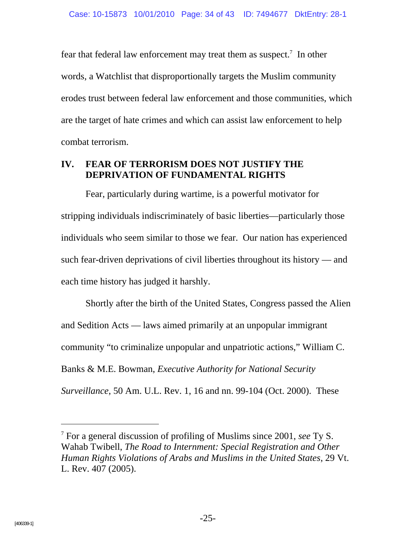fear that federal law enforcement may treat them as suspect.<sup>7</sup> In other words, a Watchlist that disproportionally targets the Muslim community erodes trust between federal law enforcement and those communities, which are the target of hate crimes and which can assist law enforcement to help combat terrorism.

## **IV. FEAR OF TERRORISM DOES NOT JUSTIFY THE DEPRIVATION OF FUNDAMENTAL RIGHTS**

Fear, particularly during wartime, is a powerful motivator for stripping individuals indiscriminately of basic liberties—particularly those individuals who seem similar to those we fear. Our nation has experienced such fear-driven deprivations of civil liberties throughout its history — and each time history has judged it harshly.

Shortly after the birth of the United States, Congress passed the Alien and Sedition Acts — laws aimed primarily at an unpopular immigrant community "to criminalize unpopular and unpatriotic actions," William C. Banks & M.E. Bowman, *Executive Authority for National Security Surveillance*, 50 Am. U.L. Rev. 1, 16 and nn. 99-104 (Oct. 2000). These

<sup>7</sup> For a general discussion of profiling of Muslims since 2001, *see* Ty S. Wahab Twibell, *The Road to Internment: Special Registration and Other Human Rights Violations of Arabs and Muslims in the United States*, 29 Vt. L. Rev. 407 (2005).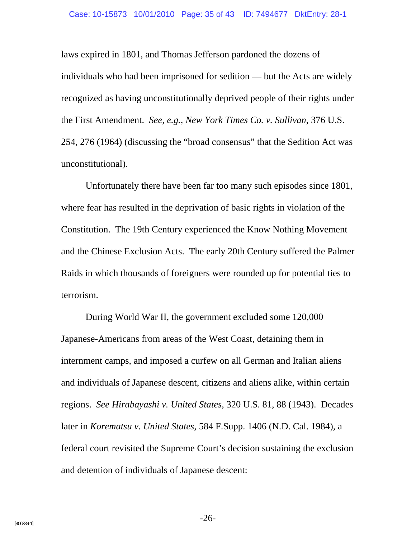laws expired in 1801, and Thomas Jefferson pardoned the dozens of individuals who had been imprisoned for sedition — but the Acts are widely recognized as having unconstitutionally deprived people of their rights under the First Amendment. *See, e.g.*, *New York Times Co. v. Sullivan*, 376 U.S. 254, 276 (1964) (discussing the "broad consensus" that the Sedition Act was unconstitutional).

Unfortunately there have been far too many such episodes since 1801, where fear has resulted in the deprivation of basic rights in violation of the Constitution. The 19th Century experienced the Know Nothing Movement and the Chinese Exclusion Acts. The early 20th Century suffered the Palmer Raids in which thousands of foreigners were rounded up for potential ties to terrorism.

During World War II, the government excluded some 120,000 Japanese-Americans from areas of the West Coast, detaining them in internment camps, and imposed a curfew on all German and Italian aliens and individuals of Japanese descent, citizens and aliens alike, within certain regions. *See Hirabayashi v. United States*, 320 U.S. 81, 88 (1943). Decades later in *Korematsu v. United States*, 584 F.Supp. 1406 (N.D. Cal. 1984), a federal court revisited the Supreme Court's decision sustaining the exclusion and detention of individuals of Japanese descent:

-26-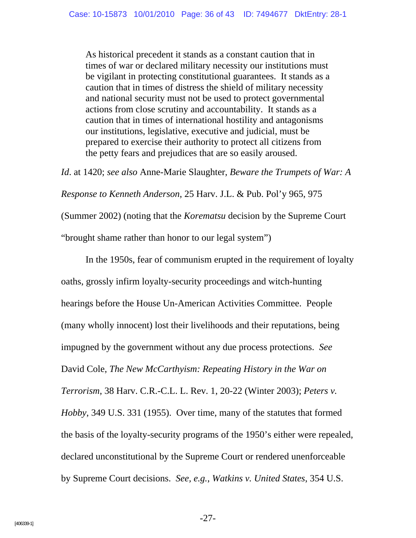As historical precedent it stands as a constant caution that in times of war or declared military necessity our institutions must be vigilant in protecting constitutional guarantees. It stands as a caution that in times of distress the shield of military necessity and national security must not be used to protect governmental actions from close scrutiny and accountability. It stands as a caution that in times of international hostility and antagonisms our institutions, legislative, executive and judicial, must be prepared to exercise their authority to protect all citizens from the petty fears and prejudices that are so easily aroused.

*Id*. at 1420; *see also* Anne-Marie Slaughter, *Beware the Trumpets of War: A Response to Kenneth Anderson*, 25 Harv. J.L. & Pub. Pol'y 965, 975 (Summer 2002) (noting that the *Korematsu* decision by the Supreme Court "brought shame rather than honor to our legal system")

In the 1950s, fear of communism erupted in the requirement of loyalty oaths, grossly infirm loyalty-security proceedings and witch-hunting hearings before the House Un-American Activities Committee. People (many wholly innocent) lost their livelihoods and their reputations, being impugned by the government without any due process protections. *See* David Cole, *The New McCarthyism: Repeating History in the War on Terrorism*, 38 Harv. C.R.-C.L. L. Rev. 1, 20-22 (Winter 2003); *Peters v. Hobby*, 349 U.S. 331 (1955). Over time, many of the statutes that formed the basis of the loyalty-security programs of the 1950's either were repealed, declared unconstitutional by the Supreme Court or rendered unenforceable by Supreme Court decisions. *See, e.g.*, *Watkins v. United States*, 354 U.S.

-27-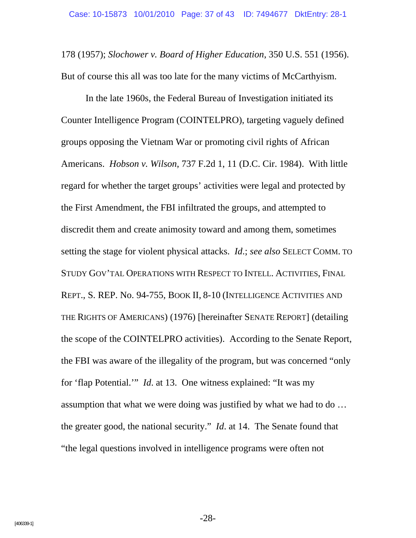178 (1957); *Slochower v. Board of Higher Education*, 350 U.S. 551 (1956). But of course this all was too late for the many victims of McCarthyism.

In the late 1960s, the Federal Bureau of Investigation initiated its Counter Intelligence Program (COINTELPRO), targeting vaguely defined groups opposing the Vietnam War or promoting civil rights of African Americans. *Hobson v. Wilson*, 737 F.2d 1, 11 (D.C. Cir. 1984). With little regard for whether the target groups' activities were legal and protected by the First Amendment, the FBI infiltrated the groups, and attempted to discredit them and create animosity toward and among them, sometimes setting the stage for violent physical attacks. *Id*.; *see also* SELECT COMM. TO STUDY GOV'TAL OPERATIONS WITH RESPECT TO INTELL. ACTIVITIES, FINAL REPT., S. REP. No. 94-755, BOOK II, 8-10 (INTELLIGENCE ACTIVITIES AND THE RIGHTS OF AMERICANS) (1976) [hereinafter SENATE REPORT] (detailing the scope of the COINTELPRO activities). According to the Senate Report, the FBI was aware of the illegality of the program, but was concerned "only for 'flap Potential.'" *Id*. at 13. One witness explained: "It was my assumption that what we were doing was justified by what we had to do … the greater good, the national security." *Id*. at 14. The Senate found that "the legal questions involved in intelligence programs were often not

-28-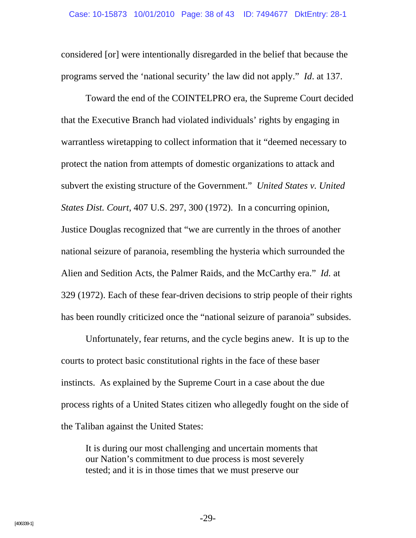considered [or] were intentionally disregarded in the belief that because the programs served the 'national security' the law did not apply." *Id*. at 137.

Toward the end of the COINTELPRO era, the Supreme Court decided that the Executive Branch had violated individuals' rights by engaging in warrantless wiretapping to collect information that it "deemed necessary to protect the nation from attempts of domestic organizations to attack and subvert the existing structure of the Government." *United States v. United States Dist. Court*, 407 U.S. 297, 300 (1972). In a concurring opinion, Justice Douglas recognized that "we are currently in the throes of another national seizure of paranoia, resembling the hysteria which surrounded the Alien and Sedition Acts, the Palmer Raids, and the McCarthy era." *Id.* at 329 (1972). Each of these fear-driven decisions to strip people of their rights has been roundly criticized once the "national seizure of paranoia" subsides.

Unfortunately, fear returns, and the cycle begins anew. It is up to the courts to protect basic constitutional rights in the face of these baser instincts. As explained by the Supreme Court in a case about the due process rights of a United States citizen who allegedly fought on the side of the Taliban against the United States:

It is during our most challenging and uncertain moments that our Nation's commitment to due process is most severely tested; and it is in those times that we must preserve our

-29-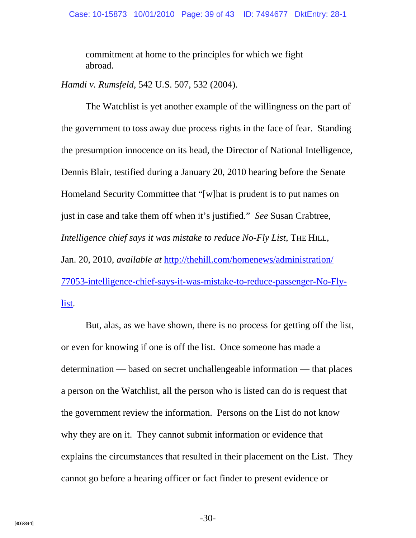commitment at home to the principles for which we fight abroad.

*Hamdi v. Rumsfeld*, 542 U.S. 507, 532 (2004).

The Watchlist is yet another example of the willingness on the part of the government to toss away due process rights in the face of fear. Standing the presumption innocence on its head, the Director of National Intelligence, Dennis Blair, testified during a January 20, 2010 hearing before the Senate Homeland Security Committee that "[w]hat is prudent is to put names on just in case and take them off when it's justified." *See* Susan Crabtree, *Intelligence chief says it was mistake to reduce No-Fly List*, THE HILL, Jan. 20, 2010, *available at* http://thehill.com/homenews/administration/ 77053-intelligence-chief-says-it-was-mistake-to-reduce-passenger-No-Flylist.

But, alas, as we have shown, there is no process for getting off the list, or even for knowing if one is off the list. Once someone has made a determination — based on secret unchallengeable information — that places a person on the Watchlist, all the person who is listed can do is request that the government review the information. Persons on the List do not know why they are on it. They cannot submit information or evidence that explains the circumstances that resulted in their placement on the List. They cannot go before a hearing officer or fact finder to present evidence or

-30-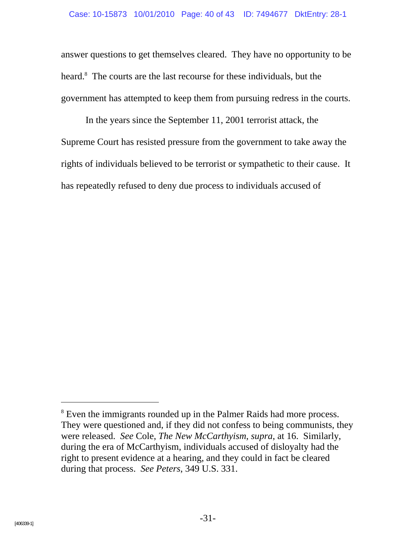answer questions to get themselves cleared. They have no opportunity to be heard.<sup>8</sup> The courts are the last recourse for these individuals, but the government has attempted to keep them from pursuing redress in the courts.

In the years since the September 11, 2001 terrorist attack, the Supreme Court has resisted pressure from the government to take away the rights of individuals believed to be terrorist or sympathetic to their cause. It has repeatedly refused to deny due process to individuals accused of

-

<sup>&</sup>lt;sup>8</sup> Even the immigrants rounded up in the Palmer Raids had more process. They were questioned and, if they did not confess to being communists, they were released. *See* Cole, *The New McCarthyism*, *supra*, at 16. Similarly, during the era of McCarthyism, individuals accused of disloyalty had the right to present evidence at a hearing, and they could in fact be cleared during that process. *See Peters*, 349 U.S. 331.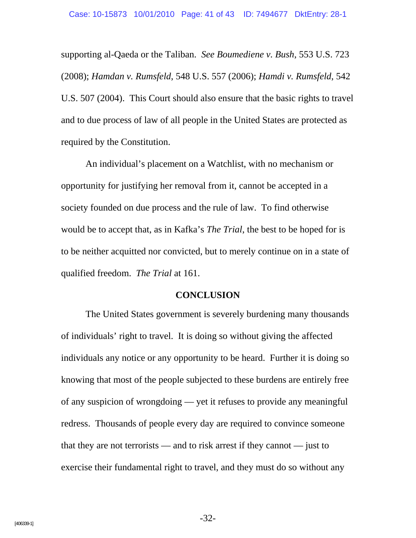supporting al-Qaeda or the Taliban. *See Boumediene v. Bush*, 553 U.S. 723 (2008); *Hamdan v. Rumsfeld*, 548 U.S. 557 (2006); *Hamdi v. Rumsfeld*, 542 U.S. 507 (2004). This Court should also ensure that the basic rights to travel and to due process of law of all people in the United States are protected as required by the Constitution.

An individual's placement on a Watchlist, with no mechanism or opportunity for justifying her removal from it, cannot be accepted in a society founded on due process and the rule of law. To find otherwise would be to accept that, as in Kafka's *The Trial*, the best to be hoped for is to be neither acquitted nor convicted, but to merely continue on in a state of qualified freedom. *The Trial* at 161.

#### **CONCLUSION**

The United States government is severely burdening many thousands of individuals' right to travel. It is doing so without giving the affected individuals any notice or any opportunity to be heard. Further it is doing so knowing that most of the people subjected to these burdens are entirely free of any suspicion of wrongdoing — yet it refuses to provide any meaningful redress. Thousands of people every day are required to convince someone that they are not terrorists — and to risk arrest if they cannot — just to exercise their fundamental right to travel, and they must do so without any

-32-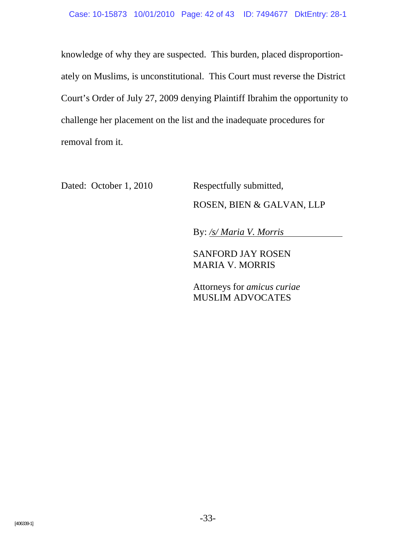knowledge of why they are suspected. This burden, placed disproportionately on Muslims, is unconstitutional. This Court must reverse the District Court's Order of July 27, 2009 denying Plaintiff Ibrahim the opportunity to challenge her placement on the list and the inadequate procedures for removal from it.

Dated: October 1, 2010 Respectfully submitted,

ROSEN, BIEN & GALVAN, LLP

By: */s/ Maria V. Morris*

SANFORD JAY ROSEN MARIA V. MORRIS

Attorneys for *amicus curiae* MUSLIM ADVOCATES